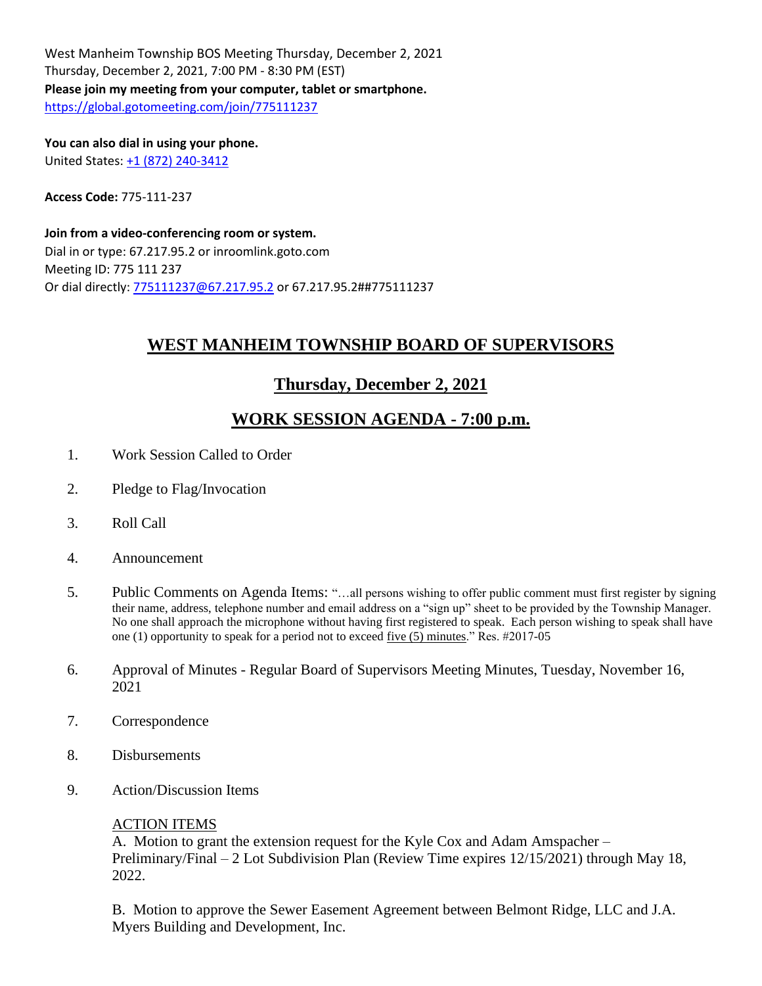West Manheim Township BOS Meeting Thursday, December 2, 2021 Thursday, December 2, 2021, 7:00 PM - 8:30 PM (EST) **Please join my meeting from your computer, tablet or smartphone.** <https://global.gotomeeting.com/join/775111237>

**You can also dial in using your phone.** United States[: +1 \(872\) 240-3412](tel:+18722403412,,775111237)

**Access Code:** 775-111-237

**Join from a video-conferencing room or system.** Dial in or type: 67.217.95.2 or inroomlink.goto.com Meeting ID: 775 111 237 Or dial directly: [775111237@67.217.95.2](mailto:775111237@67.217.95.2) or 67.217.95.2##775111237

# **WEST MANHEIM TOWNSHIP BOARD OF SUPERVISORS**

### **Thursday, December 2, 2021**

## **WORK SESSION AGENDA - 7:00 p.m.**

- 1. Work Session Called to Order
- 2. Pledge to Flag/Invocation
- 3. Roll Call
- 4. Announcement
- 5. Public Comments on Agenda Items: "…all persons wishing to offer public comment must first register by signing their name, address, telephone number and email address on a "sign up" sheet to be provided by the Township Manager. No one shall approach the microphone without having first registered to speak. Each person wishing to speak shall have one (1) opportunity to speak for a period not to exceed five (5) minutes." Res. #2017-05
- 6. Approval of Minutes Regular Board of Supervisors Meeting Minutes, Tuesday, November 16, 2021
- 7. Correspondence
- 8. Disbursements
- 9. Action/Discussion Items

### ACTION ITEMS

A. Motion to grant the extension request for the Kyle Cox and Adam Amspacher – Preliminary/Final – 2 Lot Subdivision Plan (Review Time expires 12/15/2021) through May 18, 2022.

B. Motion to approve the Sewer Easement Agreement between Belmont Ridge, LLC and J.A. Myers Building and Development, Inc.